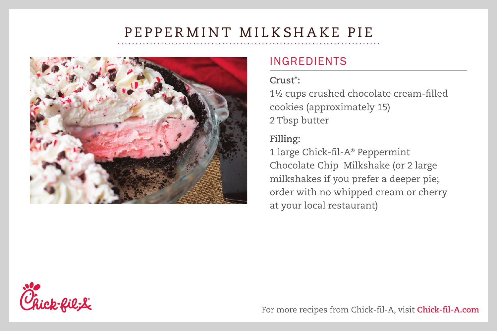# PEPPERMINT MILKSHAKE PIE



### INGREDIENTS

#### **Crust\*:**

1½ cups crushed chocolate cream-filled cookies (approximately 15) 2 Tbsp butter

### **Filling:**

1 large Chick-fil-A® Peppermint Chocolate Chip Milkshake (or 2 large milkshakes if you prefer a deeper pie; order with no whipped cream or cherry at your local restaurant)



For more recipes from Chick-fil-A, visit **Chick-fil-A.com**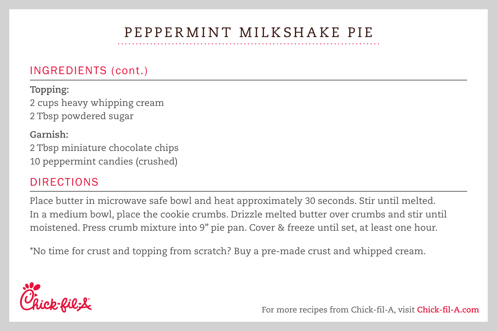## PEPPERMINT MILKSHAKE PIE

### INGREDIENTS (cont.)

**Topping:** 2 cups heavy whipping cream 2 Tbsp powdered sugar

**Garnish:** 2 Tbsp miniature chocolate chips 10 peppermint candies (crushed)

### DIRECTIONS

Place butter in microwave safe bowl and heat approximately 30 seconds. Stir until melted. In a medium bowl, place the cookie crumbs. Drizzle melted butter over crumbs and stir until moistened. Press crumb mixture into 9" pie pan. Cover & freeze until set, at least one hour.

\*No time for crust and topping from scratch? Buy a pre-made crust and whipped cream.



For more recipes from Chick-fil-A, visit **Chick-fil-A.com**